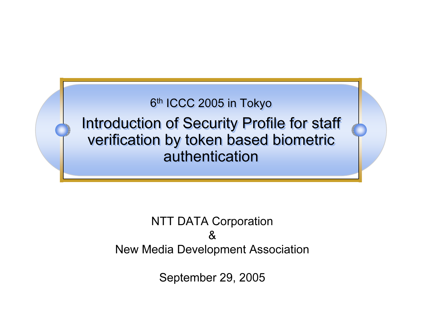

Introduction of Security Profile for staff Introduction of Security Profile for staff verification by token based biometric verification by token based biometric authentication

## NTT DATA Corporation &New Media Development Association

September 29, 2005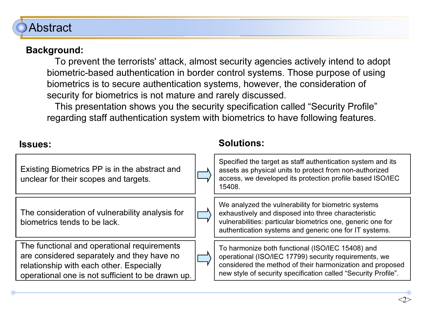## Abstract

#### Background:

To prevent the terrorists' attack, almost security agencies actively intend to adopt biometric-based authentication in border control systems. Those purpose of using biometrics is to secure authentication systems, however, the consideration of security for biometrics is not mature and rarely discussed.

This presentation shows you the security specification called "Security Profile" regarding staff authentication system with biometrics to have following features.

| <b>Issues:</b>                                                                                                                                                                             | <b>Solutions:</b>                                                                                                                                                                                                                        |
|--------------------------------------------------------------------------------------------------------------------------------------------------------------------------------------------|------------------------------------------------------------------------------------------------------------------------------------------------------------------------------------------------------------------------------------------|
| Existing Biometrics PP is in the abstract and<br>unclear for their scopes and targets.                                                                                                     | Specified the target as staff authentication system and its<br>assets as physical units to protect from non-authorized<br>access, we developed its protection profile based ISO/IEC<br>15408.                                            |
| The consideration of vulnerability analysis for<br>biometrics tends to be lack.                                                                                                            | We analyzed the vulnerability for biometric systems<br>exhaustively and disposed into three characteristic<br>vulnerabilities: particular biometrics one, generic one for<br>authentication systems and generic one for IT systems.      |
| The functional and operational requirements<br>are considered separately and they have no<br>relationship with each other. Especially<br>operational one is not sufficient to be drawn up. | To harmonize both functional (ISO/IEC 15408) and<br>operational (ISO/IEC 17799) security requirements, we<br>considered the method of their harmonization and proposed<br>new style of security specification called "Security Profile". |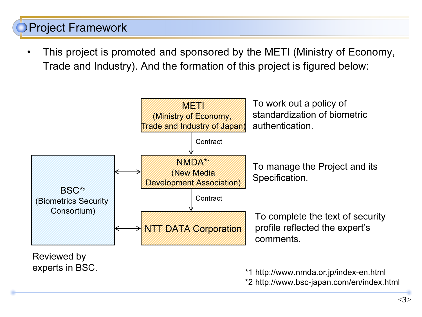# Project Framework

• This project is promoted and sponsored by the METI (Ministry of Economy, Trade and Industry). And the formation of this project is figured below:



<3>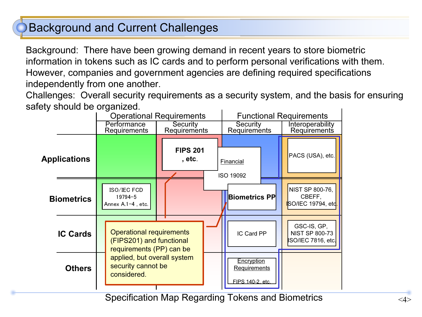## Background and Current Challenges

Background: There have been growing demand in recent years to store biometric information in tokens such as IC cards and to perform personal verifications with them. However, companies and government agencies are defining required specifications independently from one another.

Challenges: Overall security requirements as a security system, and the basis for ensuring safety should be organized.



Specification Map Regarding Tokens and Biometrics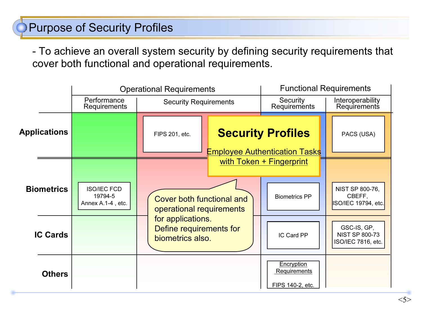# Purpose of Security Profiles

- To achieve an overall system security by defining security requirements that cover both functional and operational requirements.

|                     |                                                    | <b>Operational Requirements</b>                                                                                                  |  | <b>Functional Requirements</b>                                   |                                                            |
|---------------------|----------------------------------------------------|----------------------------------------------------------------------------------------------------------------------------------|--|------------------------------------------------------------------|------------------------------------------------------------|
|                     | Performance<br>Requirements                        | <b>Security Requirements</b>                                                                                                     |  | Security<br>Requirements                                         | Interoperability<br>Requirements                           |
| <b>Applications</b> |                                                    | FIPS 201, etc.                                                                                                                   |  | <b>Security Profiles</b><br><b>Employee Authentication Tasks</b> | PACS (USA)                                                 |
| <b>Biometrics</b>   | <b>ISO/IEC FCD</b><br>19794-5<br>Annex A.1-4, etc. | <b>Cover both functional and</b><br>operational requirements<br>for applications.<br>Define requirements for<br>biometrics also. |  | with Token + Fingerprint<br><b>Biometrics PP</b>                 | NIST SP 800-76,<br>CBEFF.<br>ISO/IEC 19794, etc.           |
| <b>IC Cards</b>     |                                                    |                                                                                                                                  |  | IC Card PP                                                       | GSC-IS, GP,<br><b>NIST SP 800-73</b><br>ISO/IEC 7816, etc. |
| <b>Others</b>       |                                                    |                                                                                                                                  |  | Encryption<br>Requirements<br>FIPS 140-2, etc.                   |                                                            |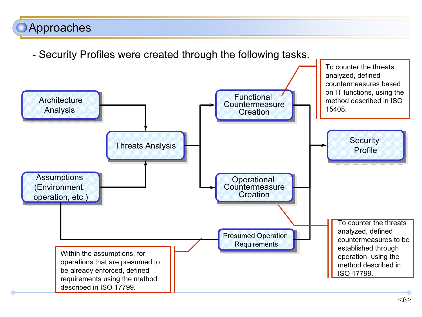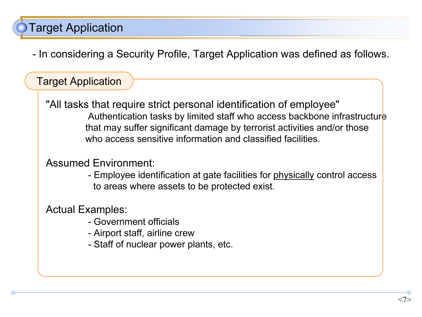# Target Application

- In considering a Security Profile, Target Application was defined as follows.

## Target Application

"All tasks that require strict personal identification of employee" Authentication tasks by limited staff who access backbone infrastructure that may suffer significant damage by terrorist activities and/or those who access sensitive information and classified facilities.

#### Assumed Environment:

- Employee identification at gate facilities for <u>physically</u> control access to areas where assets to be protected exist.

#### Actual Examples:

- Government officials
- Airport staff, airline crew
- Staff of nuclear power plants, etc.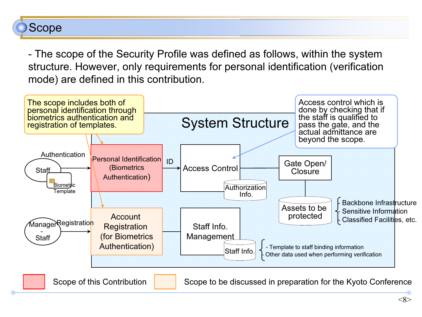## Scope

- The scope of the Security Profile was defined as follows, within the system structure. However, only requirements for personal identification (verification mode) are defined in this contribution.

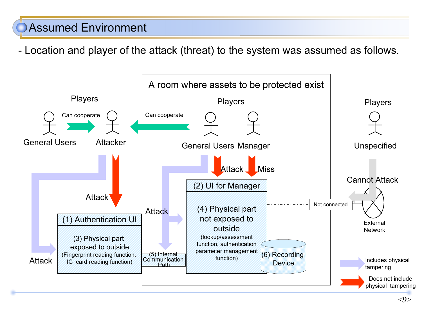## Assumed Environment

- Location and player of the attack (threat) to the system was assumed as follows.

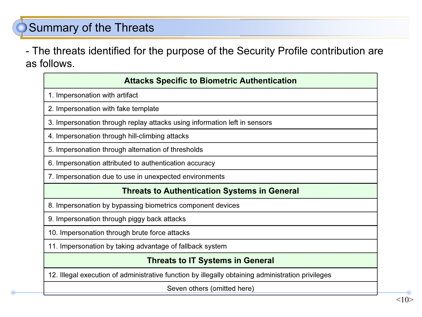## Summary of the Threats

- The threats identified for the purpose of the Security Profile contribution are as follows.

## 4. Impersonation through hill-climbing attacks 8. Impersonation by bypassing biometrics component devices 11. Impersonation by taking advantage of fallback system 7. Impersonation due to use in unexpected environments 6. Impersonation attributed to authentication accuracy 5. Impersonation through alternation of thresholds Threats to IT Systems in General 12. Illegal execution of administrative function by illegally obtaining administration privileges 10. Impersonation through brute force attacks 9. Impersonation through piggy back attacks Threats to Authentication Systems in General 3. Impersonation through replay attacks using information left in sensors 2. Impersonation with fake template 1. Impersonation with artifact Attacks Specific to Biometric Authentication

Seven others (omitted here)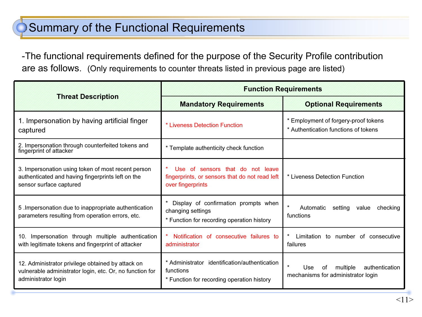## Summary of the Functional Requirements

-The functional requirements defined for the purpose of the Security Profile contribution are as follows. (Only requirements to counter threats listed in previous page are listed)

|                                                                                                                                      | <b>Function Requirements</b>                                                                             |                                                                                           |  |  |
|--------------------------------------------------------------------------------------------------------------------------------------|----------------------------------------------------------------------------------------------------------|-------------------------------------------------------------------------------------------|--|--|
| <b>Threat Description</b>                                                                                                            | <b>Mandatory Requirements</b>                                                                            | <b>Optional Requirements</b>                                                              |  |  |
| 1. Impersonation by having artificial finger<br>captured                                                                             | * Liveness Detection Function                                                                            | * Employment of forgery-proof tokens<br>* Authentication functions of tokens              |  |  |
| 2. Impersonation through counterfeited tokens and<br>fingerprint of attacker                                                         | * Template authenticity check function                                                                   |                                                                                           |  |  |
| 3. Impersonation using token of most recent person<br>authenticated and having fingerprints left on the<br>sensor surface captured   | Use of sensors that do not leave<br>fingerprints, or sensors that do not read left<br>over fingerprints  | * Liveness Detection Function                                                             |  |  |
| 5. Impersonation due to inappropriate authentication<br>parameters resulting from operation errors, etc.                             | Display of confirmation prompts when<br>changing settings<br>* Function for recording operation history  | $\star$<br>Automatic<br>setting<br>checking<br>value<br>functions                         |  |  |
| Impersonation through multiple authentication<br>10.<br>with legitimate tokens and fingerprint of attacker                           | Notification of consecutive failures to<br>administrator                                                 | Limitation to number of consecutive<br>failures                                           |  |  |
| 12. Administrator privilege obtained by attack on<br>vulnerable administrator login, etc. Or, no function for<br>administrator login | * Administrator identification/authentication<br>functions<br>* Function for recording operation history | $\star$<br>Use<br>multiple<br>authentication<br>.nf<br>mechanisms for administrator login |  |  |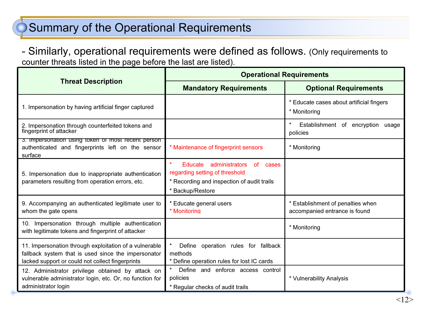## Summary of the Operational Requirements

- Similarly, operational requirements were defined as follows. (Only requirements to counter threats listed in the page before the last are listed).

|                                                                                                                                                                   | <b>Operational Requirements</b>                                                                                                                      |                                                                    |  |  |
|-------------------------------------------------------------------------------------------------------------------------------------------------------------------|------------------------------------------------------------------------------------------------------------------------------------------------------|--------------------------------------------------------------------|--|--|
| <b>Threat Description</b>                                                                                                                                         | <b>Mandatory Requirements</b>                                                                                                                        | <b>Optional Requirements</b>                                       |  |  |
| 1. Impersonation by having artificial finger captured                                                                                                             |                                                                                                                                                      | * Educate cases about artificial fingers<br>* Monitoring           |  |  |
| 2. Impersonation through counterfeited tokens and<br>fingerprint of attacker                                                                                      |                                                                                                                                                      | Establishment of encryption usage<br>policies                      |  |  |
| 3. Impersonation using token of most recent person<br>authenticated and fingerprints left on the sensor<br>surface                                                | * Maintenance of fingerprint sensors                                                                                                                 | * Monitoring                                                       |  |  |
| 5. Impersonation due to inappropriate authentication<br>parameters resulting from operation errors, etc.                                                          | $\star$<br>Educate<br>administrators<br>of cases<br>regarding setting of threshold<br>* Recording and inspection of audit trails<br>* Backup/Restore |                                                                    |  |  |
| 9. Accompanying an authenticated legitimate user to<br>whom the gate opens                                                                                        | * Educate general users<br>* Monitorina                                                                                                              | * Establishment of penalties when<br>accompanied entrance is found |  |  |
| 10. Impersonation through multiple authentication<br>with legitimate tokens and fingerprint of attacker                                                           |                                                                                                                                                      | * Monitoring                                                       |  |  |
| 11. Impersonation through exploitation of a vulnerable<br>fallback system that is used since the impersonator<br>lacked support or could not collect fingerprints | Define operation rules for fallback<br>methods<br>* Define operation rules for lost IC cards                                                         |                                                                    |  |  |
| 12. Administrator privilege obtained by attack on<br>vulnerable administrator login, etc. Or, no function for<br>administrator login                              | Define and enforce access control<br>policies<br>* Regular checks of audit trails                                                                    | * Vulnerability Analysis                                           |  |  |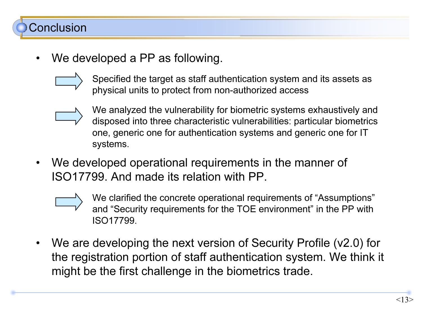# Conclusion

•We developed a PP as following.



Specified the target as staff authentication system and its assets as physical units to protect from non-authorized access



- We analyzed the vulnerability for biometric systems exhaustively and disposed into three characteristic vulnerabilities: particular biometrics one, generic one for authentication systems and generic one for IT systems.
- • We developed operational requirements in the manner of ISO17799. And made its relation with PP.



- We clarified the concrete operational requirements of "Assumptions" and "Security requirements for the TOE environment" in the PP with ISO17799.
- • We are developing the next version of Security Profile (v2.0) for the registration portion of staff authentication system. We think it might be the first challenge in the biometrics trade.